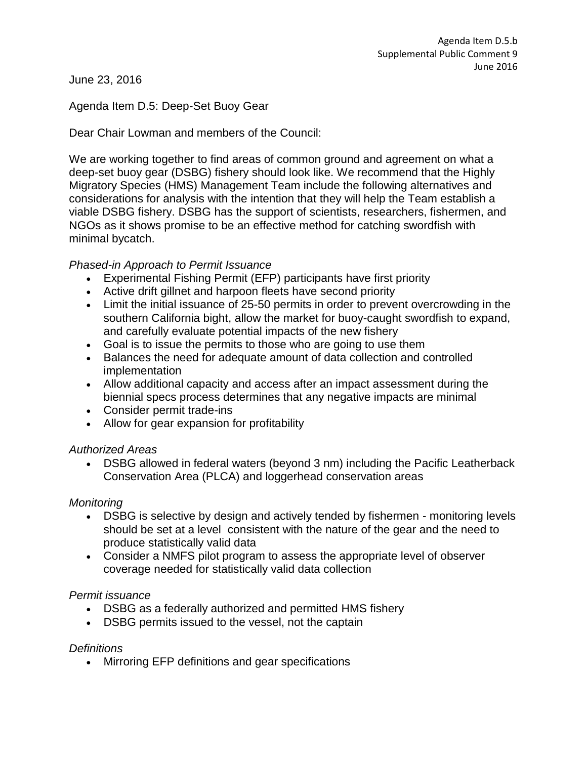June 23, 2016

# Agenda Item D.5: Deep-Set Buoy Gear

Dear Chair Lowman and members of the Council:

We are working together to find areas of common ground and agreement on what a deep-set buoy gear (DSBG) fishery should look like. We recommend that the Highly Migratory Species (HMS) Management Team include the following alternatives and considerations for analysis with the intention that they will help the Team establish a viable DSBG fishery. DSBG has the support of scientists, researchers, fishermen, and NGOs as it shows promise to be an effective method for catching swordfish with minimal bycatch.

# *Phased-in Approach to Permit Issuance*

- Experimental Fishing Permit (EFP) participants have first priority
- Active drift gillnet and harpoon fleets have second priority
- Limit the initial issuance of 25-50 permits in order to prevent overcrowding in the southern California bight, allow the market for buoy-caught swordfish to expand, and carefully evaluate potential impacts of the new fishery
- Goal is to issue the permits to those who are going to use them
- Balances the need for adequate amount of data collection and controlled implementation
- Allow additional capacity and access after an impact assessment during the biennial specs process determines that any negative impacts are minimal
- Consider permit trade-ins
- Allow for gear expansion for profitability

## *Authorized Areas*

 DSBG allowed in federal waters (beyond 3 nm) including the Pacific Leatherback Conservation Area (PLCA) and loggerhead conservation areas

## *Monitoring*

- DSBG is selective by design and actively tended by fishermen monitoring levels should be set at a level consistent with the nature of the gear and the need to produce statistically valid data
- Consider a NMFS pilot program to assess the appropriate level of observer coverage needed for statistically valid data collection

## *Permit issuance*

- DSBG as a federally authorized and permitted HMS fishery
- DSBG permits issued to the vessel, not the captain

## *Definitions*

• Mirroring EFP definitions and gear specifications